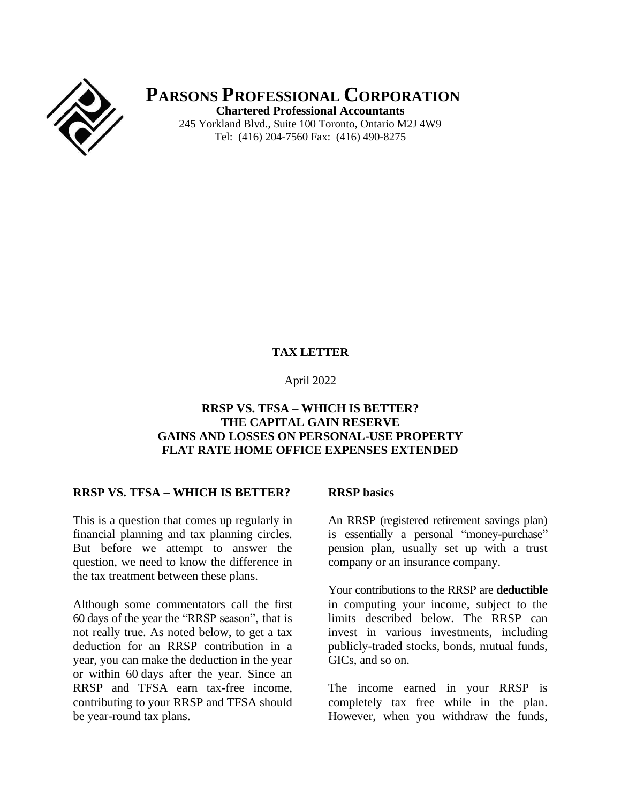

**PARSONS PROFESSIONAL CORPORATION Chartered Professional Accountants** 245 Yorkland Blvd., Suite 100 Toronto, Ontario M2J 4W9 Tel: (416) 204-7560 Fax: (416) 490-8275

## **TAX LETTER**

#### April 2022

# **RRSP VS. TFSA – WHICH IS BETTER? THE CAPITAL GAIN RESERVE GAINS AND LOSSES ON PERSONAL-USE PROPERTY FLAT RATE HOME OFFICE EXPENSES EXTENDED**

## **RRSP VS. TFSA – WHICH IS BETTER?**

This is a question that comes up regularly in financial planning and tax planning circles. But before we attempt to answer the question, we need to know the difference in the tax treatment between these plans.

Although some commentators call the first 60 days of the year the "RRSP season", that is not really true. As noted below, to get a tax deduction for an RRSP contribution in a year, you can make the deduction in the year or within 60 days after the year. Since an RRSP and TFSA earn tax-free income, contributing to your RRSP and TFSA should be year-round tax plans.

#### **RRSP basics**

An RRSP (registered retirement savings plan) is essentially a personal "money-purchase" pension plan, usually set up with a trust company or an insurance company.

Your contributions to the RRSP are **deductible** in computing your income, subject to the limits described below. The RRSP can invest in various investments, including publicly-traded stocks, bonds, mutual funds, GICs, and so on.

The income earned in your RRSP is completely tax free while in the plan. However, when you withdraw the funds,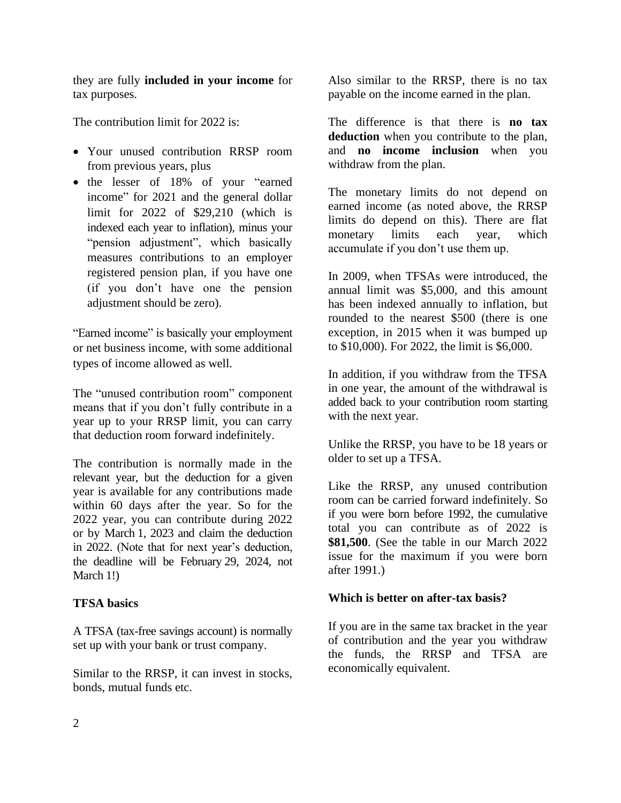they are fully **included in your income** for tax purposes.

The contribution limit for 2022 is:

- Your unused contribution RRSP room from previous years, plus
- the lesser of 18% of your "earned income" for 2021 and the general dollar limit for 2022 of \$29,210 (which is indexed each year to inflation), minus your "pension adjustment", which basically measures contributions to an employer registered pension plan, if you have one (if you don't have one the pension adjustment should be zero).

"Earned income" is basically your employment or net business income, with some additional types of income allowed as well.

The "unused contribution room" component means that if you don't fully contribute in a year up to your RRSP limit, you can carry that deduction room forward indefinitely.

The contribution is normally made in the relevant year, but the deduction for a given year is available for any contributions made within 60 days after the year. So for the 2022 year, you can contribute during 2022 or by March 1, 2023 and claim the deduction in 2022. (Note that for next year's deduction, the deadline will be February 29, 2024, not March 1!)

# **TFSA basics**

A TFSA (tax-free savings account) is normally set up with your bank or trust company.

Similar to the RRSP, it can invest in stocks, bonds, mutual funds etc.

Also similar to the RRSP, there is no tax payable on the income earned in the plan.

The difference is that there is **no tax deduction** when you contribute to the plan, and **no income inclusion** when you withdraw from the plan.

The monetary limits do not depend on earned income (as noted above, the RRSP limits do depend on this). There are flat monetary limits each year, which accumulate if you don't use them up.

In 2009, when TFSAs were introduced, the annual limit was \$5,000, and this amount has been indexed annually to inflation, but rounded to the nearest \$500 (there is one exception, in 2015 when it was bumped up to \$10,000). For 2022, the limit is \$6,000.

In addition, if you withdraw from the TFSA in one year, the amount of the withdrawal is added back to your contribution room starting with the next year.

Unlike the RRSP, you have to be 18 years or older to set up a TFSA.

Like the RRSP, any unused contribution room can be carried forward indefinitely. So if you were born before 1992, the cumulative total you can contribute as of 2022 is **\$81,500**. (See the table in our March 2022 issue for the maximum if you were born after 1991.)

# **Which is better on after-tax basis?**

If you are in the same tax bracket in the year of contribution and the year you withdraw the funds, the RRSP and TFSA are economically equivalent.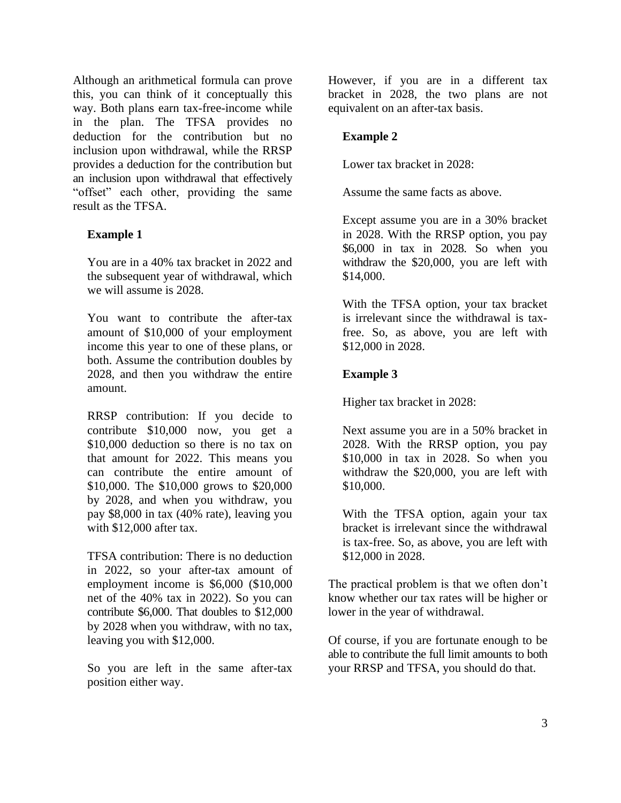Although an arithmetical formula can prove this, you can think of it conceptually this way. Both plans earn tax-free-income while in the plan. The TFSA provides no deduction for the contribution but no inclusion upon withdrawal, while the RRSP provides a deduction for the contribution but an inclusion upon withdrawal that effectively "offset" each other, providing the same result as the TFSA.

#### **Example 1**

You are in a 40% tax bracket in 2022 and the subsequent year of withdrawal, which we will assume is 2028.

You want to contribute the after-tax amount of \$10,000 of your employment income this year to one of these plans, or both. Assume the contribution doubles by 2028, and then you withdraw the entire amount.

RRSP contribution: If you decide to contribute \$10,000 now, you get a \$10,000 deduction so there is no tax on that amount for 2022. This means you can contribute the entire amount of \$10,000. The \$10,000 grows to \$20,000 by 2028, and when you withdraw, you pay \$8,000 in tax (40% rate), leaving you with \$12,000 after tax.

TFSA contribution: There is no deduction in 2022, so your after-tax amount of employment income is \$6,000 (\$10,000 net of the 40% tax in 2022). So you can contribute \$6,000. That doubles to \$12,000 by 2028 when you withdraw, with no tax, leaving you with \$12,000.

So you are left in the same after-tax position either way.

However, if you are in a different tax bracket in 2028, the two plans are not equivalent on an after-tax basis.

## **Example 2**

Lower tax bracket in 2028:

Assume the same facts as above.

Except assume you are in a 30% bracket in 2028. With the RRSP option, you pay \$6,000 in tax in 2028. So when you withdraw the \$20,000, you are left with \$14,000.

With the TFSA option, your tax bracket is irrelevant since the withdrawal is taxfree. So, as above, you are left with \$12,000 in 2028.

## **Example 3**

Higher tax bracket in 2028:

Next assume you are in a 50% bracket in 2028. With the RRSP option, you pay \$10,000 in tax in 2028. So when you withdraw the \$20,000, you are left with \$10,000.

With the TFSA option, again your tax bracket is irrelevant since the withdrawal is tax-free. So, as above, you are left with \$12,000 in 2028.

The practical problem is that we often don't know whether our tax rates will be higher or lower in the year of withdrawal.

Of course, if you are fortunate enough to be able to contribute the full limit amounts to both your RRSP and TFSA, you should do that.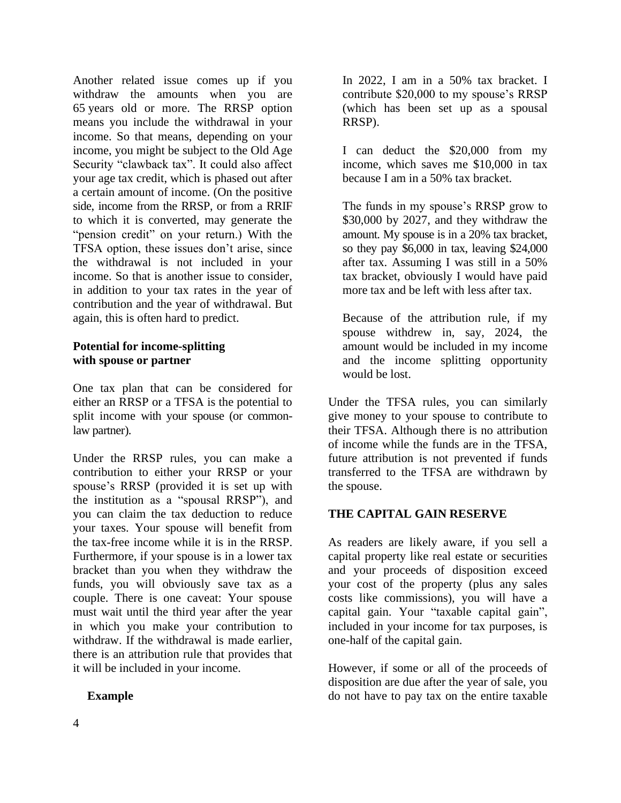Another related issue comes up if you withdraw the amounts when you are 65 years old or more. The RRSP option means you include the withdrawal in your income. So that means, depending on your income, you might be subject to the Old Age Security "clawback tax". It could also affect your age tax credit, which is phased out after a certain amount of income. (On the positive side, income from the RRSP, or from a RRIF to which it is converted, may generate the "pension credit" on your return.) With the TFSA option, these issues don't arise, since the withdrawal is not included in your income. So that is another issue to consider, in addition to your tax rates in the year of contribution and the year of withdrawal. But again, this is often hard to predict.

## **Potential for income-splitting with spouse or partner**

One tax plan that can be considered for either an RRSP or a TFSA is the potential to split income with your spouse (or commonlaw partner).

Under the RRSP rules, you can make a contribution to either your RRSP or your spouse's RRSP (provided it is set up with the institution as a "spousal RRSP"), and you can claim the tax deduction to reduce your taxes. Your spouse will benefit from the tax-free income while it is in the RRSP. Furthermore, if your spouse is in a lower tax bracket than you when they withdraw the funds, you will obviously save tax as a couple. There is one caveat: Your spouse must wait until the third year after the year in which you make your contribution to withdraw. If the withdrawal is made earlier, there is an attribution rule that provides that it will be included in your income.

# **Example**

In 2022, I am in a 50% tax bracket. I contribute \$20,000 to my spouse's RRSP (which has been set up as a spousal RRSP).

I can deduct the \$20,000 from my income, which saves me \$10,000 in tax because I am in a 50% tax bracket.

The funds in my spouse's RRSP grow to \$30,000 by 2027, and they withdraw the amount. My spouse is in a 20% tax bracket, so they pay \$6,000 in tax, leaving \$24,000 after tax. Assuming I was still in a 50% tax bracket, obviously I would have paid more tax and be left with less after tax.

Because of the attribution rule, if my spouse withdrew in, say, 2024, the amount would be included in my income and the income splitting opportunity would be lost.

Under the TFSA rules, you can similarly give money to your spouse to contribute to their TFSA. Although there is no attribution of income while the funds are in the TFSA, future attribution is not prevented if funds transferred to the TFSA are withdrawn by the spouse.

# **THE CAPITAL GAIN RESERVE**

As readers are likely aware, if you sell a capital property like real estate or securities and your proceeds of disposition exceed your cost of the property (plus any sales costs like commissions), you will have a capital gain. Your "taxable capital gain", included in your income for tax purposes, is one-half of the capital gain.

However, if some or all of the proceeds of disposition are due after the year of sale, you do not have to pay tax on the entire taxable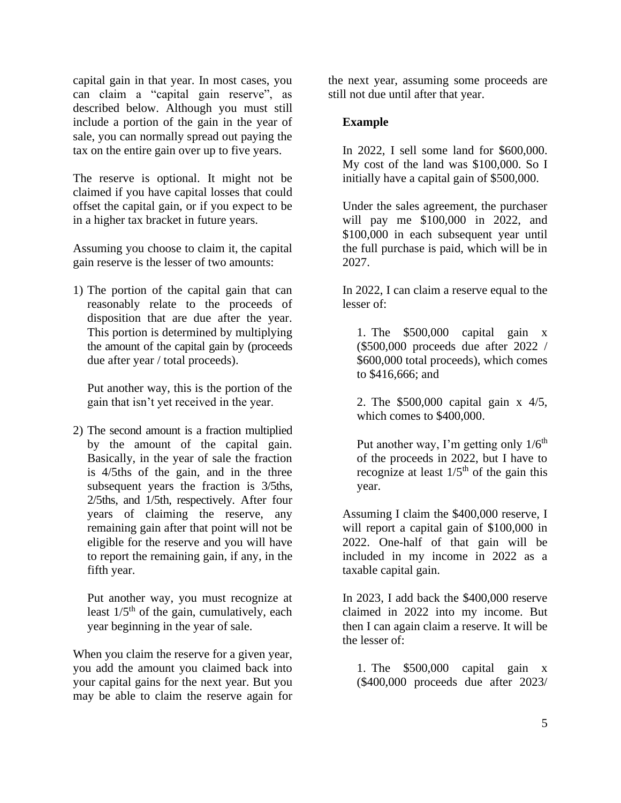capital gain in that year. In most cases, you can claim a "capital gain reserve", as described below. Although you must still include a portion of the gain in the year of sale, you can normally spread out paying the tax on the entire gain over up to five years.

The reserve is optional. It might not be claimed if you have capital losses that could offset the capital gain, or if you expect to be in a higher tax bracket in future years.

Assuming you choose to claim it, the capital gain reserve is the lesser of two amounts:

1) The portion of the capital gain that can reasonably relate to the proceeds of disposition that are due after the year. This portion is determined by multiplying the amount of the capital gain by (proceeds due after year / total proceeds).

Put another way, this is the portion of the gain that isn't yet received in the year.

2) The second amount is a fraction multiplied by the amount of the capital gain. Basically, in the year of sale the fraction is 4/5ths of the gain, and in the three subsequent years the fraction is 3/5ths, 2/5ths, and 1/5th, respectively. After four years of claiming the reserve, any remaining gain after that point will not be eligible for the reserve and you will have to report the remaining gain, if any, in the fifth year.

Put another way, you must recognize at least  $1/5<sup>th</sup>$  of the gain, cumulatively, each year beginning in the year of sale.

When you claim the reserve for a given year, you add the amount you claimed back into your capital gains for the next year. But you may be able to claim the reserve again for

the next year, assuming some proceeds are still not due until after that year.

## **Example**

In 2022, I sell some land for \$600,000. My cost of the land was \$100,000. So I initially have a capital gain of \$500,000.

Under the sales agreement, the purchaser will pay me \$100,000 in 2022, and \$100,000 in each subsequent year until the full purchase is paid, which will be in 2027.

In 2022, I can claim a reserve equal to the lesser of:

1. The \$500,000 capital gain x (\$500,000 proceeds due after 2022 / \$600,000 total proceeds), which comes to \$416,666; and

2. The \$500,000 capital gain x 4/5, which comes to \$400,000.

Put another way, I'm getting only  $1/6<sup>th</sup>$ of the proceeds in 2022, but I have to recognize at least  $1/5<sup>th</sup>$  of the gain this year.

Assuming I claim the \$400,000 reserve, I will report a capital gain of \$100,000 in 2022. One-half of that gain will be included in my income in 2022 as a taxable capital gain.

In 2023, I add back the \$400,000 reserve claimed in 2022 into my income. But then I can again claim a reserve. It will be the lesser of:

1. The \$500,000 capital gain x (\$400,000 proceeds due after 2023/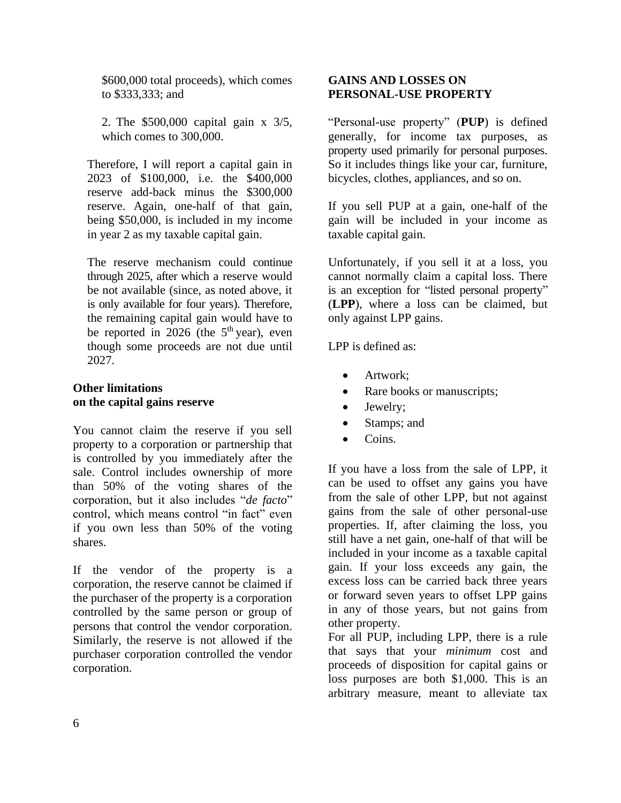\$600,000 total proceeds), which comes to \$333,333; and

2. The \$500,000 capital gain x 3/5, which comes to 300,000.

Therefore, I will report a capital gain in 2023 of \$100,000, i.e. the \$400,000 reserve add-back minus the \$300,000 reserve. Again, one-half of that gain, being \$50,000, is included in my income in year 2 as my taxable capital gain.

The reserve mechanism could continue through 2025, after which a reserve would be not available (since, as noted above, it is only available for four years). Therefore, the remaining capital gain would have to be reported in  $2026$  (the  $5<sup>th</sup>$  year), even though some proceeds are not due until 2027.

# **Other limitations on the capital gains reserve**

You cannot claim the reserve if you sell property to a corporation or partnership that is controlled by you immediately after the sale. Control includes ownership of more than 50% of the voting shares of the corporation, but it also includes "*de facto*" control, which means control "in fact" even if you own less than 50% of the voting shares.

If the vendor of the property is a corporation, the reserve cannot be claimed if the purchaser of the property is a corporation controlled by the same person or group of persons that control the vendor corporation. Similarly, the reserve is not allowed if the purchaser corporation controlled the vendor corporation.

## **GAINS AND LOSSES ON PERSONAL-USE PROPERTY**

"Personal-use property" (**PUP**) is defined generally, for income tax purposes, as property used primarily for personal purposes. So it includes things like your car, furniture, bicycles, clothes, appliances, and so on.

If you sell PUP at a gain, one-half of the gain will be included in your income as taxable capital gain.

Unfortunately, if you sell it at a loss, you cannot normally claim a capital loss. There is an exception for "listed personal property" (**LPP**), where a loss can be claimed, but only against LPP gains.

LPP is defined as:

- Artwork;
- Rare books or manuscripts;
- Jewelry;
- Stamps; and
- Coins.

If you have a loss from the sale of LPP, it can be used to offset any gains you have from the sale of other LPP, but not against gains from the sale of other personal-use properties. If, after claiming the loss, you still have a net gain, one-half of that will be included in your income as a taxable capital gain. If your loss exceeds any gain, the excess loss can be carried back three years or forward seven years to offset LPP gains in any of those years, but not gains from other property.

For all PUP, including LPP, there is a rule that says that your *minimum* cost and proceeds of disposition for capital gains or loss purposes are both \$1,000. This is an arbitrary measure, meant to alleviate tax